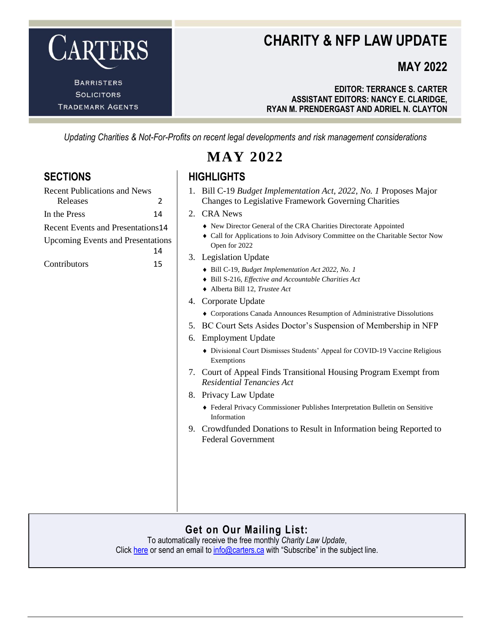

**TRADEMARK AGENTS** 

### **CHARITY & NFP LAW UPDATE**

### **MAY 2022**

**EDITOR: TERRANCE S. CARTER ASSISTANT EDITORS: NANCY E. CLARIDGE, RYAN M. PRENDERGAST AND ADRIEL N. CLAYTON**

*Updating Charities & Not-For-Profits on recent legal developments and risk management considerations*

**MAY 2022**

### **SECTIONS HIGHLIGHTS**

- 1. Bill C-19 *[Budget Implementation Act, 2022, No. 1](#page-1-1)* Proposes Major [Changes to Legislative Framework Governing Charities](#page-1-1)
- 2. [CRA News](#page-2-0)
	- [New Director General of the CRA Charities Directorate Appointed](#page-2-1)
	- [Call for Applications to Join Advisory Committee on the Charitable Sector Now](#page-2-2)  [Open for 2022](#page-2-2)
- 3. [Legislation Update](#page-2-3)
	- Bill C-19, *[Budget Implementation Act 2022, No. 1](#page-2-4)*
	- Bill S-216, *[Effective and Accountable Charities Act](#page-3-0)*
	- [Alberta Bill 12,](#page-3-1) *Trustee Act*
- 4. [Corporate Update](#page-4-0)
	- [Corporations Canada Announces Resumption of Administrative Dissolutions](#page-4-1)
- 5. [BC Court Sets Asides Doctor's Suspension of Membership in NFP](#page-4-2)
- 6. [Employment Update](#page-6-0)
	- [Divisional Court Dismisses Students' Appeal for COVID-19 Vaccine Religious](#page-6-1)  [Exemptions](#page-6-1)
- 7. [Court of Appeal Finds Transitional Housing Program Exempt from](#page-7-0)  *[Residential Tenancies Act](#page-7-0)*
- 8. [Privacy Law Update](#page-9-0)
	- Federal Privacy Commissioner [Publishes Interpretation Bulletin on Sensitive](#page-9-1)  [Information](#page-9-1)
- 9. [Crowdfunded Donations to Result in Information being Reported to](#page-10-0)  [Federal Government](#page-10-0)

#### **Get on Our Mailing List:**

To automatically receive the free monthly *Charity Law Update*, Click [here](https://www.carters.ca/index.php?page_id=109) or send an email t[o info@carters.ca](mailto:info@carters.ca) with "Subscribe" in the subject line.

### [Recent Publications and News](#page-1-0)  [Releases](#page-1-0) 2 [In the Press](#page-13-0) 14 [Recent Events and Presentations](#page-13-1)14 [Upcoming Events and Presentations](#page-13-2) [14](#page-13-2)

[Contributors](#page-14-0) 15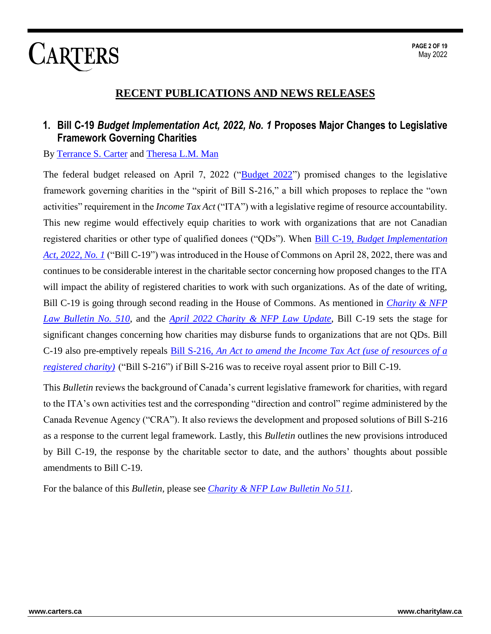### **RECENT PUBLICATIONS AND NEWS RELEASES**

#### <span id="page-1-1"></span><span id="page-1-0"></span>**1. Bill C-19** *Budget Implementation Act, 2022, No. 1* **Proposes Major Changes to Legislative Framework Governing Charities**

#### By [Terrance S. Carter](http://carters.ca/index.php?page_id=21) and [Theresa L.M. Man](http://www.carters.ca/index.php?page_id=23)

The federal budget released on April 7, 2022 (["Budget 2022"](https://budget.gc.ca/2022/report-rapport/toc-tdm-en.html)) promised changes to the legislative framework governing charities in the "spirit of Bill S-216," a bill which proposes to replace the "own activities" requirement in the *Income Tax Act* ("ITA") with a legislative regime of resource accountability. This new regime would effectively equip charities to work with organizations that are not Canadian registered charities or other type of qualified donees ("QDs"). When Bill C-19, *[Budget Implementation](https://www.parl.ca/LegisInfo/en/bill/44-1/C-19)  [Act, 2022, No. 1](https://www.parl.ca/LegisInfo/en/bill/44-1/C-19)* ("Bill C-19") was introduced in the House of Commons on April 28, 2022, there was and continues to be considerable interest in the charitable sector concerning how proposed changes to the ITA will impact the ability of registered charities to work with such organizations. As of the date of writing, Bill C-19 is going through second reading in the House of Commons. As mentioned in *[Charity & NFP](https://www.carters.ca/pub/bulletin/charity/2022/chylb510.pdf)  [Law Bulletin No. 510](https://www.carters.ca/pub/bulletin/charity/2022/chylb510.pdf)*, and the *[April 2022 Charity & NFP Law Update](https://www.carters.ca/index.php?page_id=481)*, Bill C-19 sets the stage for significant changes concerning how charities may disburse funds to organizations that are not QDs. Bill C-19 also pre-emptively repeals Bill S-216, *[An Act to amend the Income Tax Act \(use of resources of a](https://www.parl.ca/legisinfo/en/bill/44-1/s-216)  [registered charity\)](https://www.parl.ca/legisinfo/en/bill/44-1/s-216)* ("Bill S-216") if Bill S-216 was to receive royal assent prior to Bill C-19.

This *Bulletin* reviews the background of Canada's current legislative framework for charities, with regard to the ITA's own activities test and the corresponding "direction and control" regime administered by the Canada Revenue Agency ("CRA"). It also reviews the development and proposed solutions of Bill S-216 as a response to the current legal framework. Lastly, this *Bulletin* outlines the new provisions introduced by Bill C-19, the response by the charitable sector to date, and the authors' thoughts about possible amendments to Bill C-19.

For the balance of this *Bulletin*, please see *[Charity & NFP Law Bulletin No 511](https://www.carters.ca/pub/bulletin/charity/2022/chylb511.pdf)*.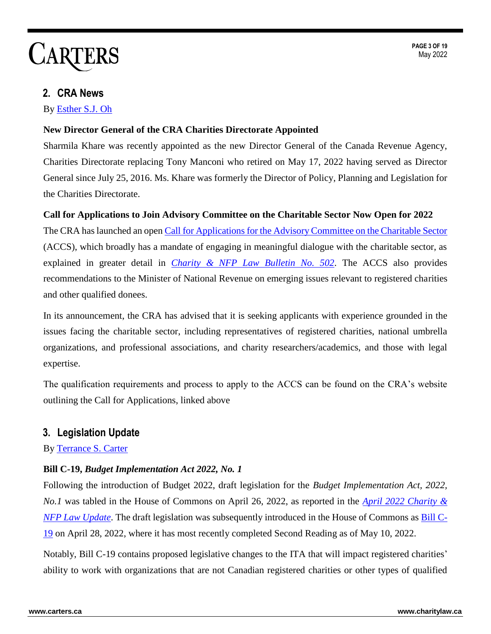### <span id="page-2-0"></span>**2. CRA News**

By [Esther S.J. Oh](http://carters.ca/index.php?page_id=25)

#### <span id="page-2-1"></span>**New Director General of the CRA Charities Directorate Appointed**

Sharmila Khare was recently appointed as the new Director General of the Canada Revenue Agency, Charities Directorate replacing Tony Manconi who retired on May 17, 2022 having served as Director General since July 25, 2016. Ms. Khare was formerly the Director of Policy, Planning and Legislation for the Charities Directorate.

#### <span id="page-2-2"></span>**Call for Applications to Join Advisory Committee on the Charitable Sector Now Open for 2022**

The CRA has launched an ope[n Call for Applications for the Advisory Committee on the Charitable Sector](https://www.canada.ca/en/revenue-agency/programs/about-canada-revenue-agency-cra/corporate-reports-information/advisory-committee-charitable-sector/apply-to-become-a-member-of-the-advisory-committee-charitable-sector.html) (ACCS), which broadly has a mandate of engaging in meaningful dialogue with the charitable sector, as explained in greater detail in *[Charity & NFP Law Bulletin No. 502](https://www.carters.ca/pub/bulletin/charity/2021/chylb502.pdf)*. The ACCS also provides recommendations to the Minister of National Revenue on emerging issues relevant to registered charities and other qualified donees.

In its announcement, the CRA has advised that it is seeking applicants with experience grounded in the issues facing the charitable sector, including representatives of registered charities, national umbrella organizations, and professional associations, and charity researchers/academics, and those with legal expertise.

The qualification requirements and process to apply to the ACCS can be found on the CRA's website outlining the Call for Applications, linked above

### <span id="page-2-3"></span>**3. Legislation Update**

By [Terrance S. Carter](http://carters.ca/index.php?page_id=21)

#### <span id="page-2-4"></span>**Bill C-19,** *Budget Implementation Act 2022, No. 1*

Following the introduction of Budget 2022, draft legislation for the *Budget Implementation Act, 2022, No.1* was tabled in the House of Commons on April 26, 2022, as reported in the *[April 2022 Charity &](https://www.carters.ca/index.php?page_id=482)  [NFP Law Update](https://www.carters.ca/index.php?page_id=482)*. The draft legislation was subsequently introduced in the House of Commons as [Bill C-](https://www.parl.ca/legisinfo/en/bill/44-1/c-19)[19](https://www.parl.ca/legisinfo/en/bill/44-1/c-19) on April 28, 2022, where it has most recently completed Second Reading as of May 10, 2022.

Notably, Bill C-19 contains proposed legislative changes to the ITA that will impact registered charities' ability to work with organizations that are not Canadian registered charities or other types of qualified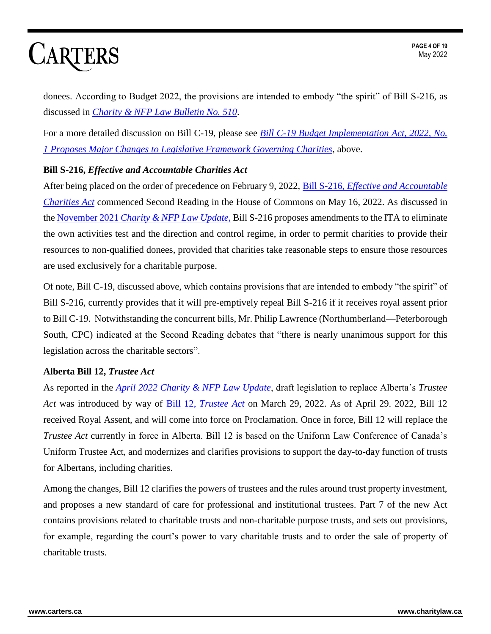donees. According to Budget 2022, the provisions are intended to embody "the spirit" of Bill S-216, as discussed in *[Charity & NFP Law Bulletin No. 510](https://www.carters.ca/pub/bulletin/charity/2022/chylb510.pdf)*.

For a more detailed discussion on Bill C-19, please see *[Bill C-19 Budget Implementation Act, 2022, No.](https://www.carters.ca/pub/update/charity/22/may22.pdf#tc1)  [1 Proposes Major Changes to Legislative Framework Governing Charities](https://www.carters.ca/pub/update/charity/22/may22.pdf#tc1)*, above.

#### <span id="page-3-0"></span>**Bill S-216,** *Effective and Accountable Charities Act*

After being placed on the order of precedence on February 9, 2022, Bill S-216, *[Effective and Accountable](https://www.parl.ca/legisinfo/en/bill/44-1/s-216)  [Charities Act](https://www.parl.ca/legisinfo/en/bill/44-1/s-216)* commenced Second Reading in the House of Commons on May 16, 2022. As discussed in the November 2021 *[Charity & NFP Law Update](https://www.carters.ca/index.php?page_id=424)*, Bill S-216 proposes amendments to the ITA to eliminate the own activities test and the direction and control regime, in order to permit charities to provide their resources to non-qualified donees, provided that charities take reasonable steps to ensure those resources are used exclusively for a charitable purpose.

Of note, Bill C-19, discussed above, which contains provisions that are intended to embody "the spirit" of Bill S-216, currently provides that it will pre-emptively repeal Bill S-216 if it receives royal assent prior to Bill C-19. Notwithstanding the concurrent bills, Mr. Philip Lawrence (Northumberland—Peterborough South, CPC) indicated at the Second Reading debates that "there is nearly unanimous support for this legislation across the charitable sectors".

#### <span id="page-3-1"></span>**Alberta Bill 12,** *Trustee Act*

As reported in the *[April 2022 Charity & NFP Law Update](https://www.carters.ca/index.php?page_id=482)*, draft legislation to replace Alberta's *Trustee Act* was introduced by way of Bill 12, *[Trustee Act](https://www.assembly.ab.ca/assembly-business/bills/bill?billinfoid=11966)* on March 29, 2022. As of April 29. 2022, Bill 12 received Royal Assent, and will come into force on Proclamation. Once in force, Bill 12 will replace the *Trustee Act* currently in force in Alberta. Bill 12 is based on the Uniform Law Conference of Canada's Uniform Trustee Act, and modernizes and clarifies provisions to support the day-to-day function of trusts for Albertans, including charities.

Among the changes, Bill 12 clarifies the powers of trustees and the rules around trust property investment, and proposes a new standard of care for professional and institutional trustees. Part 7 of the new Act contains provisions related to charitable trusts and non-charitable purpose trusts, and sets out provisions, for example, regarding the court's power to vary charitable trusts and to order the sale of property of charitable trusts.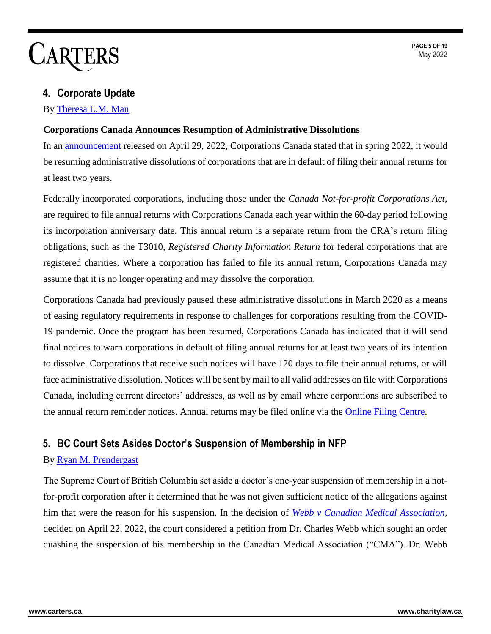### <span id="page-4-0"></span>**4. Corporate Update**

#### By [Theresa L.M. Man](http://www.carters.ca/index.php?page_id=23)

#### <span id="page-4-1"></span>**Corporations Canada Announces Resumption of Administrative Dissolutions**

In an [announcement](https://www.ic.gc.ca/eic/site/cd-dgc.nsf/eng/cs09480.html) released on April 29, 2022, Corporations Canada stated that in spring 2022, it would be resuming administrative dissolutions of corporations that are in default of filing their annual returns for at least two years.

Federally incorporated corporations, including those under the *Canada Not-for-profit Corporations Act*, are required to file annual returns with Corporations Canada each year within the 60-day period following its incorporation anniversary date. This annual return is a separate return from the CRA's return filing obligations, such as the T3010, *Registered Charity Information Return* for federal corporations that are registered charities. Where a corporation has failed to file its annual return, Corporations Canada may assume that it is no longer operating and may dissolve the corporation.

Corporations Canada had previously paused these administrative dissolutions in March 2020 as a means of easing regulatory requirements in response to challenges for corporations resulting from the COVID-19 pandemic. Once the program has been resumed, Corporations Canada has indicated that it will send final notices to warn corporations in default of filing annual returns for at least two years of its intention to dissolve. Corporations that receive such notices will have 120 days to file their annual returns, or will face administrative dissolution. Notices will be sent by mail to all valid addresses on file with Corporations Canada, including current directors' addresses, as well as by email where corporations are subscribed to the annual return reminder notices. Annual returns may be filed online via the [Online Filing Centre.](https://www.ic.gc.ca/app/scr/cc/CorporationsCanada/hm.html?locale=en_CA)

#### <span id="page-4-2"></span>**5. BC Court Sets Asides Doctor's Suspension of Membership in NFP**

#### By [Ryan M. Prendergast](http://carters.ca/index.php?page_id=30)

The Supreme Court of British Columbia set aside a doctor's one-year suspension of membership in a notfor-profit corporation after it determined that he was not given sufficient notice of the allegations against him that were the reason for his suspension. In the decision of *[Webb v Canadian Medical Association](https://canlii.ca/t/jntkz)*, decided on April 22, 2022, the court considered a petition from Dr. Charles Webb which sought an order quashing the suspension of his membership in the Canadian Medical Association ("CMA"). Dr. Webb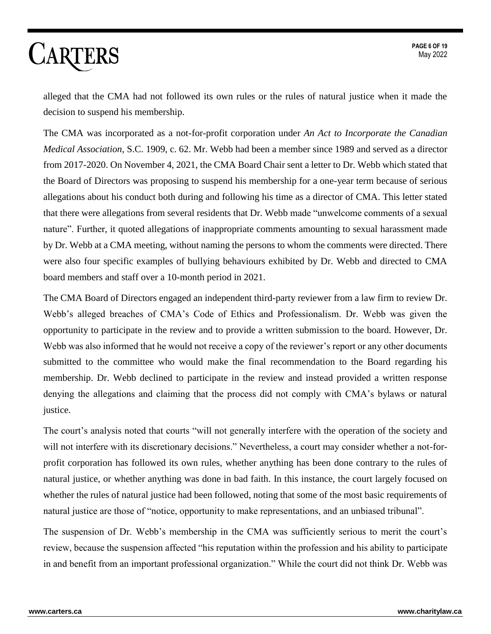alleged that the CMA had not followed its own rules or the rules of natural justice when it made the decision to suspend his membership.

The CMA was incorporated as a not-for-profit corporation under *An Act to Incorporate the Canadian Medical Association*, S.C. 1909, c. 62. Mr. Webb had been a member since 1989 and served as a director from 2017-2020. On November 4, 2021, the CMA Board Chair sent a letter to Dr. Webb which stated that the Board of Directors was proposing to suspend his membership for a one-year term because of serious allegations about his conduct both during and following his time as a director of CMA. This letter stated that there were allegations from several residents that Dr. Webb made "unwelcome comments of a sexual nature". Further, it quoted allegations of inappropriate comments amounting to sexual harassment made by Dr. Webb at a CMA meeting, without naming the persons to whom the comments were directed. There were also four specific examples of bullying behaviours exhibited by Dr. Webb and directed to CMA board members and staff over a 10-month period in 2021.

The CMA Board of Directors engaged an independent third-party reviewer from a law firm to review Dr. Webb's alleged breaches of CMA's Code of Ethics and Professionalism. Dr. Webb was given the opportunity to participate in the review and to provide a written submission to the board. However, Dr. Webb was also informed that he would not receive a copy of the reviewer's report or any other documents submitted to the committee who would make the final recommendation to the Board regarding his membership. Dr. Webb declined to participate in the review and instead provided a written response denying the allegations and claiming that the process did not comply with CMA's bylaws or natural justice.

The court's analysis noted that courts "will not generally interfere with the operation of the society and will not interfere with its discretionary decisions." Nevertheless, a court may consider whether a not-forprofit corporation has followed its own rules, whether anything has been done contrary to the rules of natural justice, or whether anything was done in bad faith. In this instance, the court largely focused on whether the rules of natural justice had been followed, noting that some of the most basic requirements of natural justice are those of "notice, opportunity to make representations, and an unbiased tribunal".

The suspension of Dr. Webb's membership in the CMA was sufficiently serious to merit the court's review, because the suspension affected "his reputation within the profession and his ability to participate in and benefit from an important professional organization." While the court did not think Dr. Webb was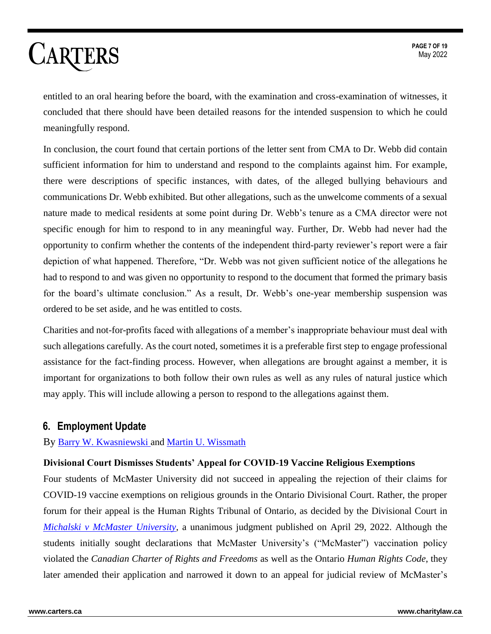entitled to an oral hearing before the board, with the examination and cross-examination of witnesses, it concluded that there should have been detailed reasons for the intended suspension to which he could meaningfully respond.

In conclusion, the court found that certain portions of the letter sent from CMA to Dr. Webb did contain sufficient information for him to understand and respond to the complaints against him. For example, there were descriptions of specific instances, with dates, of the alleged bullying behaviours and communications Dr. Webb exhibited. But other allegations, such as the unwelcome comments of a sexual nature made to medical residents at some point during Dr. Webb's tenure as a CMA director were not specific enough for him to respond to in any meaningful way. Further, Dr. Webb had never had the opportunity to confirm whether the contents of the independent third-party reviewer's report were a fair depiction of what happened. Therefore, "Dr. Webb was not given sufficient notice of the allegations he had to respond to and was given no opportunity to respond to the document that formed the primary basis for the board's ultimate conclusion." As a result, Dr. Webb's one-year membership suspension was ordered to be set aside, and he was entitled to costs.

Charities and not-for-profits faced with allegations of a member's inappropriate behaviour must deal with such allegations carefully. As the court noted, sometimes it is a preferable first step to engage professional assistance for the fact-finding process. However, when allegations are brought against a member, it is important for organizations to both follow their own rules as well as any rules of natural justice which may apply. This will include allowing a person to respond to the allegations against them.

### <span id="page-6-0"></span>**6. Employment Update**

By [Barry W. Kwasniewski](http://www.carters.ca/index.php?page_id=27) and [Martin U. Wissmath](https://carters.ca/index.php?page_id=364)

#### <span id="page-6-1"></span>**Divisional Court Dismisses Students' Appeal for COVID-19 Vaccine Religious Exemptions**

Four students of McMaster University did not succeed in appealing the rejection of their claims for COVID-19 vaccine exemptions on religious grounds in the Ontario Divisional Court. Rather, the proper forum for their appeal is the Human Rights Tribunal of Ontario, as decided by the Divisional Court in *[Michalski v McMaster University,](https://www.canlii.org/en/on/onscdc/doc/2022/2022onsc2625/2022onsc2625.html)* a unanimous judgment published on April 29, 2022. Although the students initially sought declarations that McMaster University's ("McMaster") vaccination policy violated the *Canadian Charter of Rights and Freedoms* as well as the Ontario *Human Rights Code*, they later amended their application and narrowed it down to an appeal for judicial review of McMaster's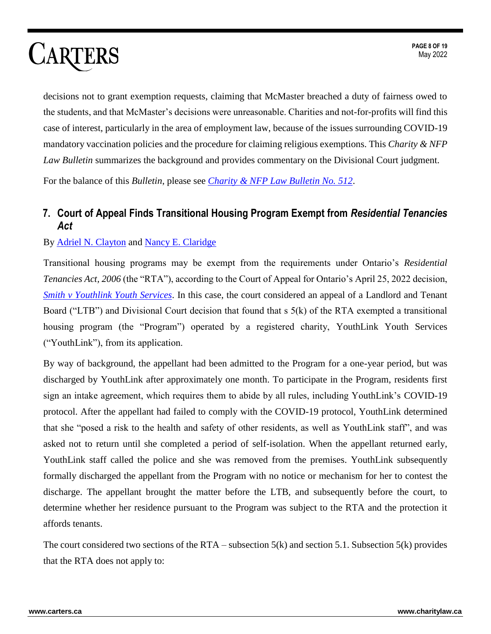decisions not to grant exemption requests, claiming that McMaster breached a duty of fairness owed to the students, and that McMaster's decisions were unreasonable. Charities and not-for-profits will find this case of interest, particularly in the area of employment law, because of the issues surrounding COVID-19 mandatory vaccination policies and the procedure for claiming religious exemptions. This *Charity & NFP Law Bulletin* summarizes the background and provides commentary on the Divisional Court judgment.

For the balance of this *Bulletin*, please see *[Charity & NFP Law Bulletin No. 512](https://www.carters.ca/pub/bulletin/charity/2022/chylb512.pdf)*.

### <span id="page-7-0"></span>**7. Court of Appeal Finds Transitional Housing Program Exempt from** *Residential Tenancies Act*

#### By [Adriel N. Clayton](http://carters.ca/index.php?page_id=136) and [Nancy E. Claridge](http://carters.ca/index.php?page_id=26)

Transitional housing programs may be exempt from the requirements under Ontario's *Residential Tenancies Act, 2006* (the "RTA"), according to the Court of Appeal for Ontario's April 25, 2022 decision, *[Smith v Youthlink Youth Services](https://canlii.ca/t/jntbr)*. In this case, the court considered an appeal of a Landlord and Tenant Board ("LTB") and Divisional Court decision that found that s 5(k) of the RTA exempted a transitional housing program (the "Program") operated by a registered charity, YouthLink Youth Services ("YouthLink"), from its application.

By way of background, the appellant had been admitted to the Program for a one-year period, but was discharged by YouthLink after approximately one month. To participate in the Program, residents first sign an intake agreement, which requires them to abide by all rules, including YouthLink's COVID-19 protocol. After the appellant had failed to comply with the COVID-19 protocol, YouthLink determined that she "posed a risk to the health and safety of other residents, as well as YouthLink staff", and was asked not to return until she completed a period of self-isolation. When the appellant returned early, YouthLink staff called the police and she was removed from the premises. YouthLink subsequently formally discharged the appellant from the Program with no notice or mechanism for her to contest the discharge. The appellant brought the matter before the LTB, and subsequently before the court, to determine whether her residence pursuant to the Program was subject to the RTA and the protection it affords tenants.

The court considered two sections of the RTA – subsection 5(k) and section 5.1. Subsection 5(k) provides that the RTA does not apply to: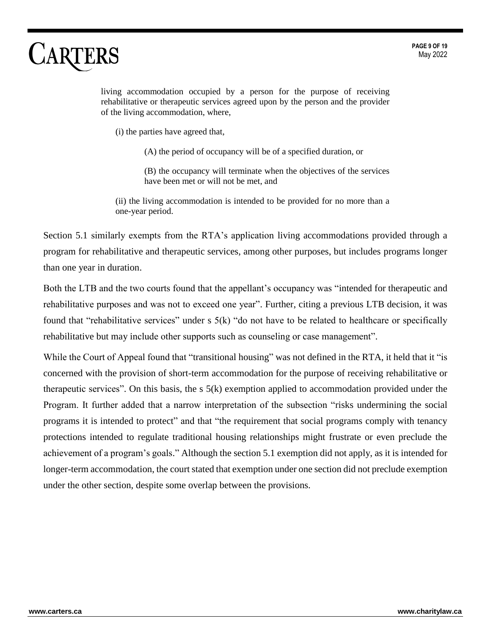living accommodation occupied by a person for the purpose of receiving rehabilitative or therapeutic services agreed upon by the person and the provider of the living accommodation, where,

(i) the parties have agreed that,

(A) the period of occupancy will be of a specified duration, or

(B) the occupancy will terminate when the objectives of the services have been met or will not be met, and

(ii) the living accommodation is intended to be provided for no more than a one-year period.

Section 5.1 similarly exempts from the RTA's application living accommodations provided through a program for rehabilitative and therapeutic services, among other purposes, but includes programs longer than one year in duration.

Both the LTB and the two courts found that the appellant's occupancy was "intended for therapeutic and rehabilitative purposes and was not to exceed one year". Further, citing a previous LTB decision, it was found that "rehabilitative services" under s 5(k) "do not have to be related to healthcare or specifically rehabilitative but may include other supports such as counseling or case management".

While the Court of Appeal found that "transitional housing" was not defined in the RTA, it held that it "is concerned with the provision of short-term accommodation for the purpose of receiving rehabilitative or therapeutic services". On this basis, the s 5(k) exemption applied to accommodation provided under the Program. It further added that a narrow interpretation of the subsection "risks undermining the social programs it is intended to protect" and that "the requirement that social programs comply with tenancy protections intended to regulate traditional housing relationships might frustrate or even preclude the achievement of a program's goals." Although the section 5.1 exemption did not apply, as it is intended for longer-term accommodation, the court stated that exemption under one section did not preclude exemption under the other section, despite some overlap between the provisions.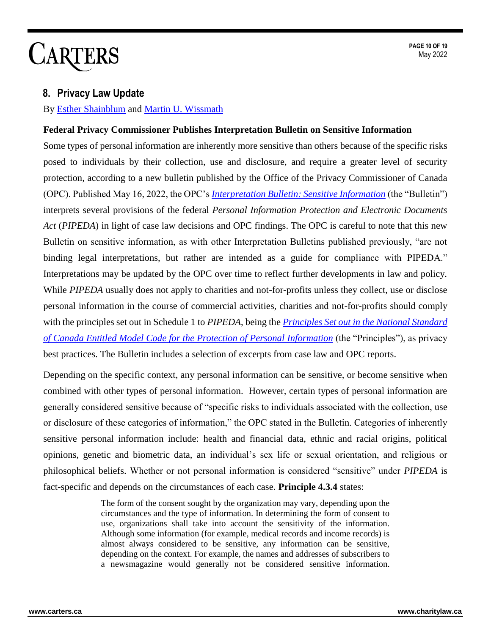#### <span id="page-9-0"></span>**8. Privacy Law Update**

By [Esther Shainblum](http://www.carters.ca/index.php?page_id=135) and [Martin U. Wissmath](https://carters.ca/index.php?page_id=364)

#### <span id="page-9-1"></span>**Federal Privacy Commissioner Publishes Interpretation Bulletin on Sensitive Information**

Some types of personal information are inherently more sensitive than others because of the specific risks posed to individuals by their collection, use and disclosure, and require a greater level of security protection, according to a new bulletin published by the Office of the Privacy Commissioner of Canada (OPC). Published May 16, 2022, the OPC's *[Interpretation Bulletin: Sensitive Information](https://www.priv.gc.ca/en/privacy-topics/privacy-laws-in-canada/the-personal-information-protection-and-electronic-documents-act-pipeda/pipeda-compliance-help/pipeda-interpretation-bulletins/interpretations_10_sensible/)* (the "Bulletin") interprets several provisions of the federal *Personal Information Protection and Electronic Documents Act* (*PIPEDA*) in light of case law decisions and OPC findings. The OPC is careful to note that this new Bulletin on sensitive information, as with other Interpretation Bulletins published previously, "are not binding legal interpretations, but rather are intended as a guide for compliance with PIPEDA." Interpretations may be updated by the OPC over time to reflect further developments in law and policy. While *PIPEDA* usually does not apply to charities and not-for-profits unless they collect, use or disclose personal information in the course of commercial activities, charities and not-for-profits should comply with the principles set out in Schedule 1 to *PIPEDA*, being the *[Principles Set out in the National Standard](https://laws-lois.justice.gc.ca/ENG/ACTS/P-8.6/page-7.html)  [of Canada Entitled Model Code for the Protection of Personal Information](https://laws-lois.justice.gc.ca/ENG/ACTS/P-8.6/page-7.html)* (the "Principles"), as privacy best practices. The Bulletin includes a selection of excerpts from case law and OPC reports.

Depending on the specific context, any personal information can be sensitive, or become sensitive when combined with other types of personal information. However, certain types of personal information are generally considered sensitive because of "specific risks to individuals associated with the collection, use or disclosure of these categories of information," the OPC stated in the Bulletin. Categories of inherently sensitive personal information include: health and financial data, ethnic and racial origins, political opinions, genetic and biometric data, an individual's sex life or sexual orientation, and religious or philosophical beliefs. Whether or not personal information is considered "sensitive" under *PIPEDA* is fact-specific and depends on the circumstances of each case. **Principle 4.3.4** states:

> The form of the consent sought by the organization may vary, depending upon the circumstances and the type of information. In determining the form of consent to use, organizations shall take into account the sensitivity of the information. Although some information (for example, medical records and income records) is almost always considered to be sensitive, any information can be sensitive, depending on the context. For example, the names and addresses of subscribers to a newsmagazine would generally not be considered sensitive information.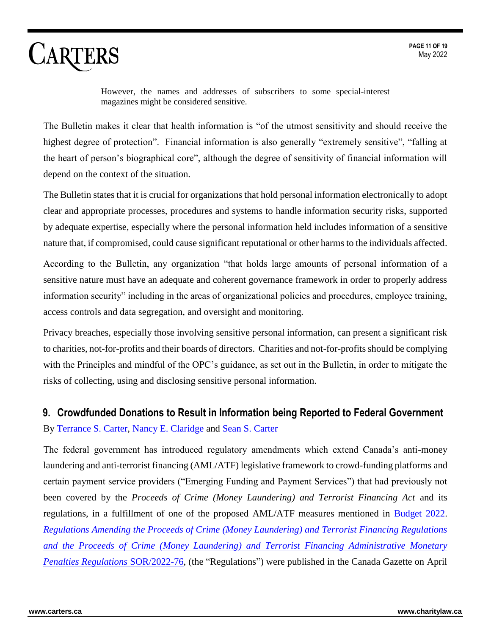However, the names and addresses of subscribers to some special-interest magazines might be considered sensitive.

The Bulletin makes it clear that health information is "of the utmost sensitivity and should receive the highest degree of protection". Financial information is also generally "extremely sensitive", "falling at the heart of person's biographical core", although the degree of sensitivity of financial information will depend on the context of the situation.

The Bulletin states that it is crucial for organizations that hold personal information electronically to adopt clear and appropriate processes, procedures and systems to handle information security risks, supported by adequate expertise, especially where the personal information held includes information of a sensitive nature that, if compromised, could cause significant reputational or other harms to the individuals affected.

According to the Bulletin, any organization "that holds large amounts of personal information of a sensitive nature must have an adequate and coherent governance framework in order to properly address information security" including in the areas of organizational policies and procedures, employee training, access controls and data segregation, and oversight and monitoring.

Privacy breaches, especially those involving sensitive personal information, can present a significant risk to charities, not-for-profits and their boards of directors. Charities and not-for-profits should be complying with the Principles and mindful of the OPC's guidance, as set out in the Bulletin, in order to mitigate the risks of collecting, using and disclosing sensitive personal information.

### <span id="page-10-0"></span>**9. Crowdfunded Donations to Result in Information being Reported to Federal Government**

#### By [Terrance S. Carter,](http://carters.ca/index.php?page_id=21) [Nancy E. Claridge](http://carters.ca/index.php?page_id=26) and [Sean S. Carter](http://carters.ca/index.php?page_id=29)

The federal government has introduced regulatory amendments which extend Canada's anti-money laundering and anti-terrorist financing (AML/ATF) legislative framework to crowd-funding platforms and certain payment service providers ("Emerging Funding and Payment Services") that had previously not been covered by the *Proceeds of Crime (Money Laundering) and Terrorist Financing Act* and its regulations, in a fulfillment of one of the proposed AML/ATF measures mentioned in [Budget 2022.](https://www.carters.ca/pub/bulletin/charity/2022/chylb510.pdf) *[Regulations Amending the Proceeds of Crime \(Money Laundering\) and Terrorist Financing Regulations](https://www.gazette.gc.ca/rp-pr/p2/2022/2022-04-27/html/sor-dors76-eng.html)  [and the Proceeds of Crime \(Money Laundering\) and Terrorist Financing Administrative Monetary](https://www.gazette.gc.ca/rp-pr/p2/2022/2022-04-27/html/sor-dors76-eng.html)  [Penalties Regulations](https://www.gazette.gc.ca/rp-pr/p2/2022/2022-04-27/html/sor-dors76-eng.html)* SOR/2022-76, (the "Regulations") were published in the Canada Gazette on April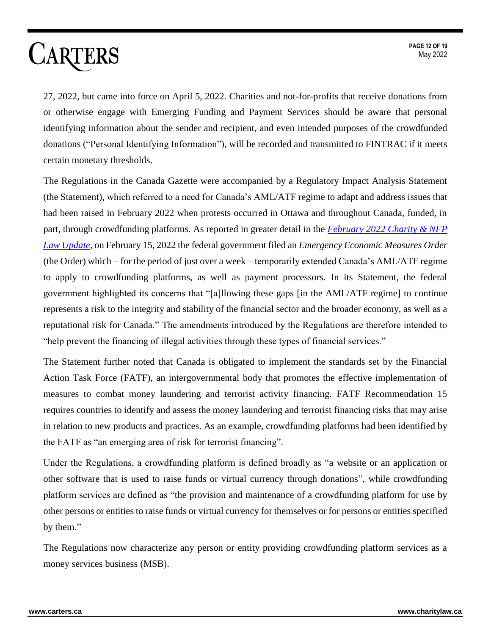27, 2022, but came into force on April 5, 2022. Charities and not-for-profits that receive donations from or otherwise engage with Emerging Funding and Payment Services should be aware that personal identifying information about the sender and recipient, and even intended purposes of the crowdfunded donations ("Personal Identifying Information"), will be recorded and transmitted to FINTRAC if it meets certain monetary thresholds.

The Regulations in the Canada Gazette were accompanied by a Regulatory Impact Analysis Statement (the Statement), which referred to a need for Canada's AML/ATF regime to adapt and address issues that had been raised in February 2022 when protests occurred in Ottawa and throughout Canada, funded, in part, through crowdfunding platforms. As reported in greater detail in the *February [2022 Charity & NFP](https://www.carters.ca/index.php?page_id=467)  [Law Update](https://www.carters.ca/index.php?page_id=467)*, on February 15, 2022 the federal government filed an *Emergency Economic Measures Order* (the Order) which – for the period of just over a week – temporarily extended Canada's AML/ATF regime to apply to crowdfunding platforms, as well as payment processors. In its Statement, the federal government highlighted its concerns that "[a]llowing these gaps [in the AML/ATF regime] to continue represents a risk to the integrity and stability of the financial sector and the broader economy, as well as a reputational risk for Canada." The amendments introduced by the Regulations are therefore intended to "help prevent the financing of illegal activities through these types of financial services."

The Statement further noted that Canada is obligated to implement the standards set by the Financial Action Task Force (FATF), an intergovernmental body that promotes the effective implementation of measures to combat money laundering and terrorist activity financing. FATF Recommendation 15 requires countries to identify and assess the money laundering and terrorist financing risks that may arise in relation to new products and practices. As an example, crowdfunding platforms had been identified by the FATF as "an emerging area of risk for terrorist financing".

Under the Regulations, a crowdfunding platform is defined broadly as "a website or an application or other software that is used to raise funds or virtual currency through donations", while crowdfunding platform services are defined as "the provision and maintenance of a crowdfunding platform for use by other persons or entities to raise funds or virtual currency for themselves or for persons or entities specified by them."

The Regulations now characterize any person or entity providing crowdfunding platform services as a money services business (MSB).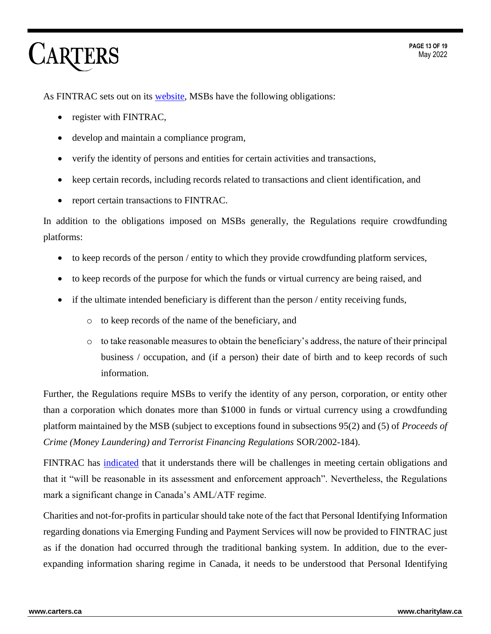As FINTRAC sets out on its [website,](https://www.fintrac-canafe.gc.ca/notices-avis/2022-04-27-eng) MSBs have the following obligations:

- register with FINTRAC,
- develop and maintain a compliance program,
- verify the identity of persons and entities for certain activities and transactions,
- keep certain records, including records related to transactions and client identification, and
- report certain transactions to FINTRAC.

In addition to the obligations imposed on MSBs generally, the Regulations require crowdfunding platforms:

- to keep records of the person / entity to which they provide crowdfunding platform services,
- to keep records of the purpose for which the funds or virtual currency are being raised, and
- if the ultimate intended beneficiary is different than the person  $/$  entity receiving funds,
	- o to keep records of the name of the beneficiary, and
	- $\circ$  to take reasonable measures to obtain the beneficiary's address, the nature of their principal business / occupation, and (if a person) their date of birth and to keep records of such information.

Further, the Regulations require MSBs to verify the identity of any person, corporation, or entity other than a corporation which donates more than \$1000 in funds or virtual currency using a crowdfunding platform maintained by the MSB (subject to exceptions found in subsections 95(2) and (5) of *Proceeds of Crime (Money Laundering) and Terrorist Financing Regulations* SOR/2002-184).

FINTRAC has [indicated](https://www.fintrac-canafe.gc.ca/notices-avis/2022-04-27-eng) that it understands there will be challenges in meeting certain obligations and that it "will be reasonable in its assessment and enforcement approach". Nevertheless, the Regulations mark a significant change in Canada's AML/ATF regime.

Charities and not-for-profits in particular should take note of the fact that Personal Identifying Information regarding donations via Emerging Funding and Payment Services will now be provided to FINTRAC just as if the donation had occurred through the traditional banking system. In addition, due to the everexpanding information sharing regime in Canada, it needs to be understood that Personal Identifying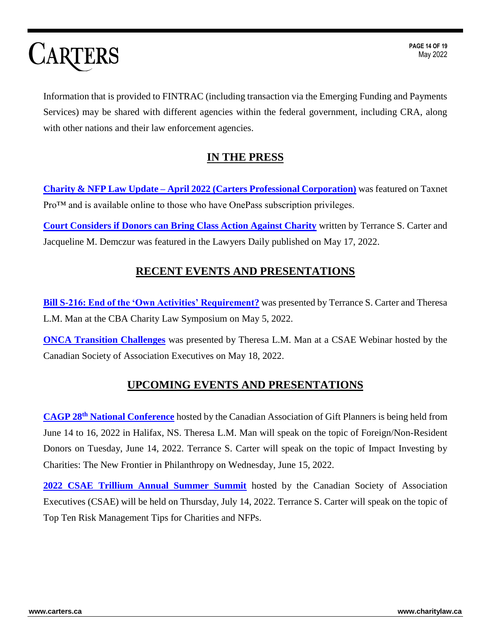Information that is provided to FINTRAC (including transaction via the Emerging Funding and Payments Services) may be shared with different agencies within the federal government, including CRA, along with other nations and their law enforcement agencies.

### **IN THE PRESS**

<span id="page-13-0"></span>**Charity & NFP Law Update – April 2022 [\(Carters Professional Corporation\)](http://www.v3.taxnetpro.com/)** was featured on Taxnet Pro™ and is available online to those who have OnePass subscription privileges.

<span id="page-13-1"></span>**[Court Considers if Donors can Bring Class Action Against Charity](https://www.thelawyersdaily.ca/articles/36304/court-considers-if-donors-can-bring-class-action-against-charity-?category=analysis)** written by Terrance S. Carter and Jacqueline M. Demczur was featured in the Lawyers Daily published on May 17, 2022.

### **RECENT EVENTS AND PRESENTATIONS**

**[Bill S-216: End of the 'Own Activities' Requirement?](https://www.carters.ca/pub/seminar/charity/2022/CharityLawSymposium2022-Bill-S-216-TSC-TLM-2022-05-05.pdf)** was presented by Terrance S. Carter and Theresa L.M. Man at the CBA Charity Law Symposium on May 5, 2022.

<span id="page-13-2"></span>**[ONCA Transition Challenges](https://www.carters.ca/pub/webinar/2022/Handout-CSAE-Webinar-ONCA-Transition-Challenges-T%20Man-2022-05-18.pdf)** was presented by Theresa L.M. Man at a CSAE Webinar hosted by the Canadian Society of Association Executives on May 18, 2022.

### **UPCOMING EVENTS AND PRESENTATIONS**

**CAGP 28th [National Conference](https://www.cagpconference.org/)** hosted by the Canadian Association of Gift Planners is being held from June 14 to 16, 2022 in Halifax, NS. Theresa L.M. Man will speak on the topic of Foreign/Non-Resident Donors on Tuesday, June 14, 2022. Terrance S. Carter will speak on the topic of Impact Investing by Charities: The New Frontier in Philanthropy on Wednesday, June 15, 2022.

**[2022 CSAE Trillium Annual Summer Summit](https://csae.com/events/csae-trillium-summer-summit-2022/)** hosted by the Canadian Society of Association Executives (CSAE) will be held on Thursday, July 14, 2022. Terrance S. Carter will speak on the topic of Top Ten Risk Management Tips for Charities and NFPs.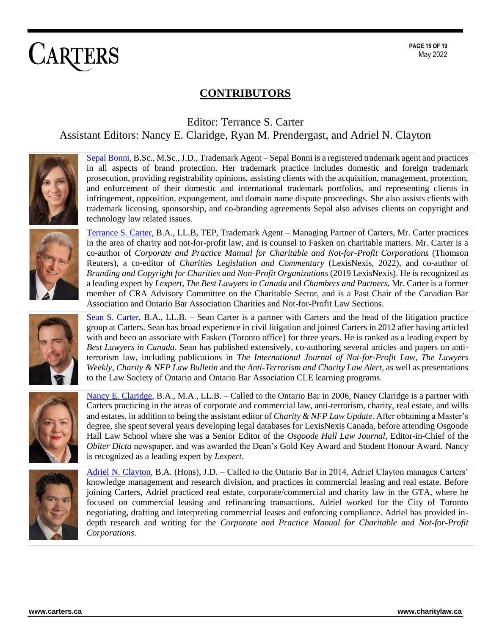### **CONTRIBUTORS**

<span id="page-14-0"></span>Editor: Terrance S. Carter Assistant Editors: Nancy E. Claridge, Ryan M. Prendergast, and Adriel N. Clayton



[Sepal Bonni,](https://www.carters.ca/index.php?page_id=33) B.Sc., M.Sc., J.D., Trademark Agent – Sepal Bonni is a registered trademark agent and practices in all aspects of brand protection. Her trademark practice includes domestic and foreign trademark prosecution, providing registrability opinions, assisting clients with the acquisition, management, protection, and enforcement of their domestic and international trademark portfolios, and representing clients in infringement, opposition, expungement, and domain name dispute proceedings. She also assists clients with trademark licensing, sponsorship, and co-branding agreements Sepal also advises clients on copyright and technology law related issues.



[Terrance S. Carter,](https://www.carters.ca/index.php?page_id=21) B.A., LL.B, TEP, Trademark Agent – Managing Partner of Carters, Mr. Carter practices in the area of charity and not-for-profit law, and is counsel to Fasken on charitable matters. Mr. Carter is a co-author of *Corporate and Practice Manual for Charitable and Not-for-Profit Corporations* (Thomson Reuters), a co-editor of *Charities Legislation and Commentary* (LexisNexis, 2022), and co-author of *Branding and Copyright for Charities and Non-Profit Organizations* (2019 LexisNexis). He is recognized as a leading expert by *Lexpert*, *The Best Lawyers in Canada* and *Chambers and Partners.* Mr. Carter is a former member of CRA Advisory Committee on the Charitable Sector, and is a Past Chair of the Canadian Bar Association and Ontario Bar Association Charities and Not-for-Profit Law Sections.



[Sean S. Carter,](https://www.carters.ca/index.php?page_id=29) B.A., LL.B. – Sean Carter is a partner with Carters and the head of the litigation practice group at Carters. Sean has broad experience in civil litigation and joined Carters in 2012 after having articled with and been an associate with Fasken (Toronto office) for three years. He is ranked as a leading expert by *Best Lawyers in Canada*. Sean has published extensively, co-authoring several articles and papers on antiterrorism law, including publications in *The International Journal of Not-for-Profit Law*, *The Lawyers Weekly*, *Charity & NFP Law Bulletin* and the *Anti-Terrorism and Charity Law Alert*, as well as presentations to the Law Society of Ontario and Ontario Bar Association CLE learning programs.





[Nancy E. Claridge,](https://www.carters.ca/index.php?page_id=26) B.A., M.A., LL.B. – Called to the Ontario Bar in 2006, Nancy Claridge is a partner with Carters practicing in the areas of corporate and commercial law, anti-terrorism, charity, real estate, and wills and estates, in addition to being the assistant editor of *Charity & NFP Law Update*. After obtaining a Master's degree, she spent several years developing legal databases for LexisNexis Canada, before attending Osgoode Hall Law School where she was a Senior Editor of the *Osgoode Hall Law Journal,* Editor-in-Chief of the *Obiter Dicta* newspaper, and was awarded the Dean's Gold Key Award and Student Honour Award. Nancy is recognized as a leading expert by *Lexpert*.

[Adriel N. Clayton,](https://www.carters.ca/index.php?page_id=136) B.A. (Hons), J.D. – Called to the Ontario Bar in 2014, Adriel Clayton manages Carters' knowledge management and research division, and practices in commercial leasing and real estate. Before joining Carters, Adriel practiced real estate, corporate/commercial and charity law in the GTA, where he focused on commercial leasing and refinancing transactions. Adriel worked for the City of Toronto negotiating, drafting and interpreting commercial leases and enforcing compliance. Adriel has provided indepth research and writing for the *Corporate and Practice Manual for Charitable and Not-for-Profit Corporations*.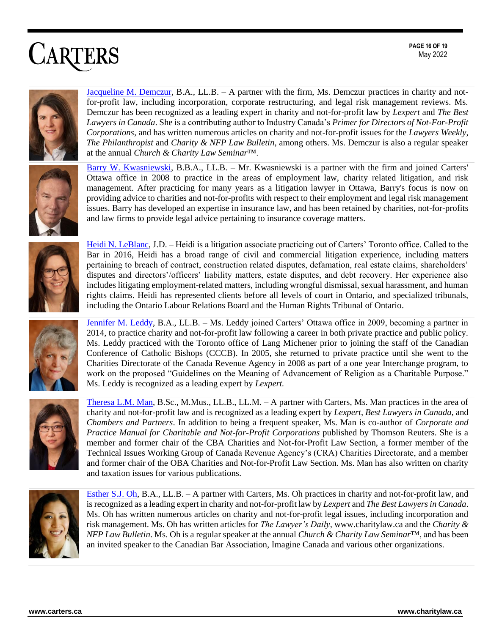**PAGE 16 OF 19** May 2022

# **CARTERS**



[Jacqueline M. Demczur,](https://www.carters.ca/index.php?page_id=24) B.A., LL.B. – A partner with the firm, Ms. Demczur practices in charity and notfor-profit law, including incorporation, corporate restructuring, and legal risk management reviews. Ms. Demczur has been recognized as a leading expert in charity and not-for-profit law by *Lexpert* and *The Best Lawyers in Canada*. She is a contributing author to Industry Canada's *Primer for Directors of Not-For-Profit Corporations*, and has written numerous articles on charity and not-for-profit issues for the *Lawyers Weekly*, *The Philanthropist* and *Charity & NFP Law Bulletin*, among others. Ms. Demczur is also a regular speaker at the annual *Church & Charity Law Seminar*™.



[Barry W. Kwasniewski,](https://www.carters.ca/index.php?page_id=27) B.B.A., LL.B. – Mr. Kwasniewski is a partner with the firm and joined Carters' Ottawa office in 2008 to practice in the areas of employment law, charity related litigation, and risk management. After practicing for many years as a litigation lawyer in Ottawa, Barry's focus is now on providing advice to charities and not-for-profits with respect to their employment and legal risk management issues. Barry has developed an expertise in insurance law, and has been retained by charities, not-for-profits and law firms to provide legal advice pertaining to insurance coverage matters.



[Heidi N. LeBlanc,](https://www.carters.ca/index.php?page_id=171) J.D. – Heidi is a litigation associate practicing out of Carters' Toronto office. Called to the Bar in 2016, Heidi has a broad range of civil and commercial litigation experience, including matters pertaining to breach of contract, construction related disputes, defamation, real estate claims, shareholders' disputes and directors'/officers' liability matters, estate disputes, and debt recovery. Her experience also includes litigating employment-related matters, including wrongful dismissal, sexual harassment, and human rights claims. Heidi has represented clients before all levels of court in Ontario, and specialized tribunals, including the Ontario Labour Relations Board and the Human Rights Tribunal of Ontario.



[Jennifer M. Leddy,](https://www.carters.ca/index.php?page_id=28) B.A., LL.B. – Ms. Leddy joined Carters' Ottawa office in 2009, becoming a partner in 2014, to practice charity and not-for-profit law following a career in both private practice and public policy. Ms. Leddy practiced with the Toronto office of Lang Michener prior to joining the staff of the Canadian Conference of Catholic Bishops (CCCB). In 2005, she returned to private practice until she went to the Charities Directorate of the Canada Revenue Agency in 2008 as part of a one year Interchange program, to work on the proposed "Guidelines on the Meaning of Advancement of Religion as a Charitable Purpose." Ms. Leddy is recognized as a leading expert by *Lexpert.*



[Theresa L.M. Man,](https://www.carters.ca/index.php?page_id=23) B.Sc., M.Mus., LL.B., LL.M. – A partner with Carters, Ms. Man practices in the area of charity and not-for-profit law and is recognized as a leading expert by *Lexpert*, *Best Lawyers in Canada*, and *Chambers and Partners*. In addition to being a frequent speaker, Ms. Man is co-author of *Corporate and Practice Manual for Charitable and Not-for-Profit Corporations* published by Thomson Reuters. She is a member and former chair of the CBA Charities and Not-for-Profit Law Section, a former member of the Technical Issues Working Group of Canada Revenue Agency's (CRA) Charities Directorate, and a member and former chair of the OBA Charities and Not-for-Profit Law Section. Ms. Man has also written on charity and taxation issues for various publications.



[Esther S.J. Oh,](https://www.carters.ca/index.php?page_id=25) B.A., LL.B. – A partner with Carters, Ms. Oh practices in charity and not-for-profit law, and is recognized as a leading expert in charity and not-for-profit law by *Lexpert* and *The Best Lawyers in Canada*. Ms. Oh has written numerous articles on charity and not-for-profit legal issues, including incorporation and risk management. Ms. Oh has written articles for *The Lawyer's Daily*, www.charitylaw.ca and the *Charity & NFP Law Bulletin*. Ms. Oh is a regular speaker at the annual *Church & Charity Law Seminar*™, and has been an invited speaker to the Canadian Bar Association, Imagine Canada and various other organizations.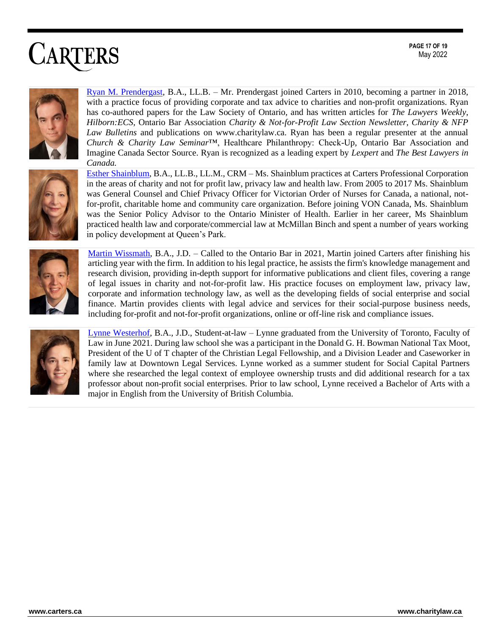**PAGE 17 OF 19** May 2022





with a practice focus of providing corporate and tax advice to charities and non-profit organizations. Ryan has co-authored papers for the Law Society of Ontario, and has written articles for *The Lawyers Weekly*, *Hilborn:ECS,* Ontario Bar Association *Charity & Not-for-Profit Law Section Newsletter, Charity & NFP Law Bulletins* and publications on www.charitylaw.ca. Ryan has been a regular presenter at the annual *Church & Charity Law Seminar*™, Healthcare Philanthropy: Check-Up, Ontario Bar Association and Imagine Canada Sector Source. Ryan is recognized as a leading expert by *Lexpert* and *The Best Lawyers in Canada.*

[Ryan M. Prendergast,](https://www.carters.ca/index.php?page_id=30) B.A., LL.B. – Mr. Prendergast joined Carters in 2010, becoming a partner in 2018,

[Esther Shainblum,](https://www.carters.ca/index.php?page_id=135) B.A., LL.B., LL.M., CRM – Ms. Shainblum practices at Carters Professional Corporation in the areas of charity and not for profit law, privacy law and health law. From 2005 to 2017 Ms. Shainblum was General Counsel and Chief Privacy Officer for Victorian Order of Nurses for Canada, a national, notfor-profit, charitable home and community care organization. Before joining VON Canada, Ms. Shainblum was the Senior Policy Advisor to the Ontario Minister of Health. Earlier in her career, Ms Shainblum practiced health law and corporate/commercial law at McMillan Binch and spent a number of years working in policy development at Queen's Park.



[Martin Wissmath,](https://www.carters.ca/index.php?page_id=364) B.A., J.D. – Called to the Ontario Bar in 2021, Martin joined Carters after finishing his articling year with the firm. In addition to his legal practice, he assists the firm's knowledge management and research division, providing in-depth support for informative publications and client files, covering a range of legal issues in charity and not-for-profit law. His practice focuses on employment law, privacy law, corporate and information technology law, as well as the developing fields of social enterprise and social finance. Martin provides clients with legal advice and services for their social-purpose business needs, including for-profit and not-for-profit organizations, online or off-line risk and compliance issues.



[Lynne Westerhof,](https://www.carters.ca/index.php?page_id=20) B.A., J.D., Student-at-law – Lynne graduated from the University of Toronto, Faculty of Law in June 2021. During law school she was a participant in the Donald G. H. Bowman National Tax Moot, President of the U of T chapter of the Christian Legal Fellowship, and a Division Leader and Caseworker in family law at Downtown Legal Services. Lynne worked as a summer student for Social Capital Partners where she researched the legal context of employee ownership trusts and did additional research for a tax professor about non-profit social enterprises. Prior to law school, Lynne received a Bachelor of Arts with a major in English from the University of British Columbia.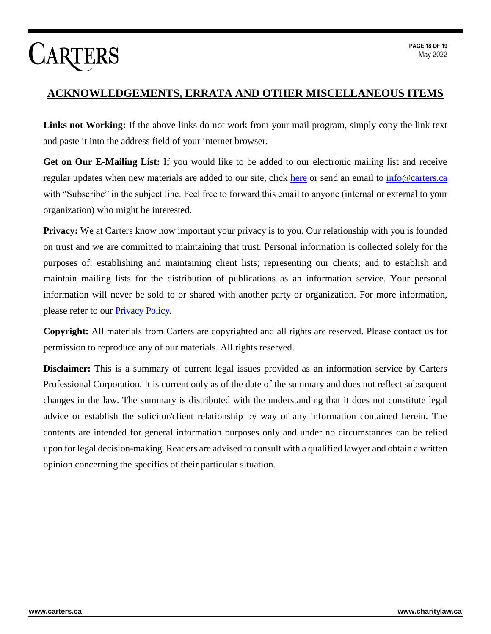#### **ACKNOWLEDGEMENTS, ERRATA AND OTHER MISCELLANEOUS ITEMS**

**Links not Working:** If the above links do not work from your mail program, simply copy the link text and paste it into the address field of your internet browser.

**Get on Our E-Mailing List:** If you would like to be added to our electronic mailing list and receive regular updates when new materials are added to our site, click [here](http://www.carters.ca/index.php?page_id=109) or send an email to [info@carters.ca](mailto:info@carters.ca) with "Subscribe" in the subject line. Feel free to forward this email to anyone (internal or external to your organization) who might be interested.

**Privacy:** We at Carters know how important your privacy is to you. Our relationship with you is founded on trust and we are committed to maintaining that trust. Personal information is collected solely for the purposes of: establishing and maintaining client lists; representing our clients; and to establish and maintain mailing lists for the distribution of publications as an information service. Your personal information will never be sold to or shared with another party or organization. For more information, please refer to our **Privacy Policy**.

**Copyright:** All materials from Carters are copyrighted and all rights are reserved. Please contact us for permission to reproduce any of our materials. All rights reserved.

**Disclaimer:** This is a summary of current legal issues provided as an information service by Carters Professional Corporation. It is current only as of the date of the summary and does not reflect subsequent changes in the law. The summary is distributed with the understanding that it does not constitute legal advice or establish the solicitor/client relationship by way of any information contained herein. The contents are intended for general information purposes only and under no circumstances can be relied upon for legal decision-making. Readers are advised to consult with a qualified lawyer and obtain a written opinion concerning the specifics of their particular situation.